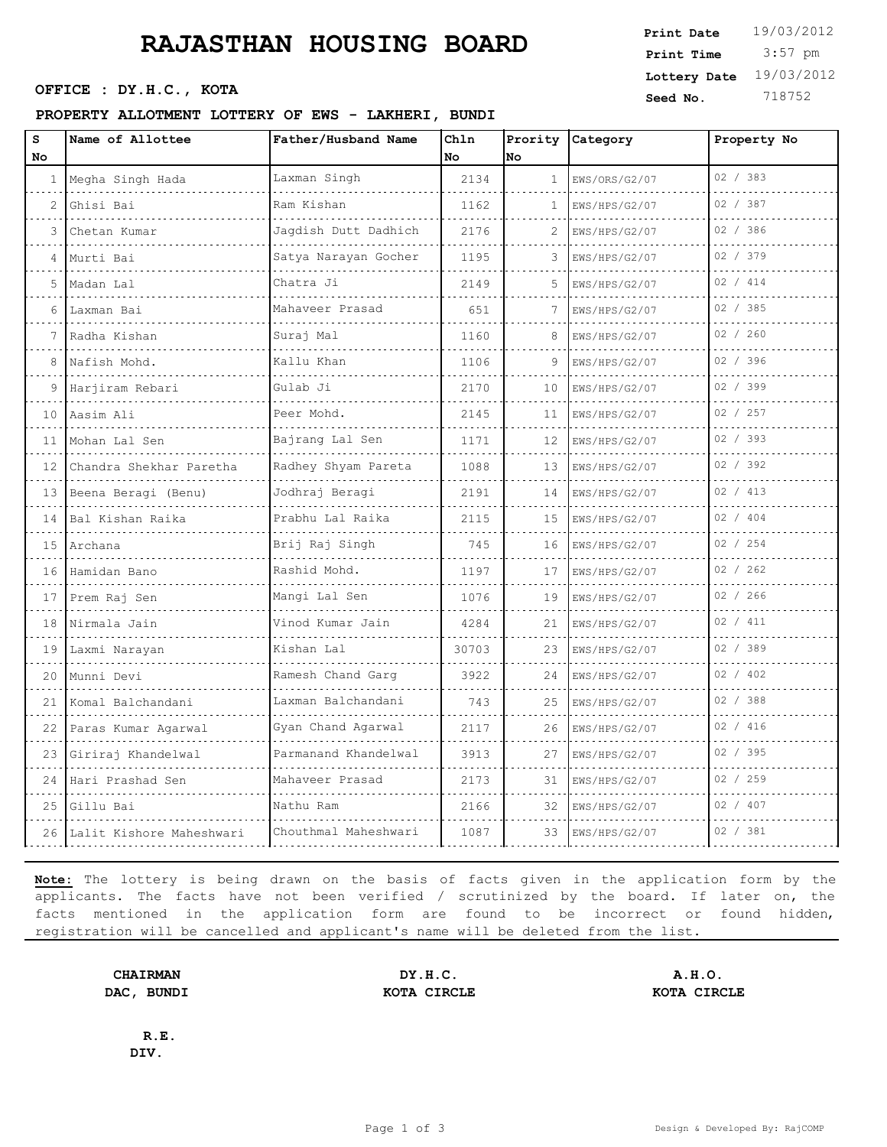# **RAJASTHAN HOUSING BOARD**

### **PROPERTY ALLOTMENT LOTTERY OF EWS - LAKHERI, BUNDI**

| s               | FROFERII AUDOIMENI DOIIERI OF EWS - UARRERI, BONDI<br>Name of Allottee | Father/Husband Name     | Chln  |                 |                  | Property No |
|-----------------|------------------------------------------------------------------------|-------------------------|-------|-----------------|------------------|-------------|
| No              |                                                                        |                         | No    | No              | Prority Category |             |
| 1               | Megha Singh Hada                                                       | Laxman Singh            | 2134  | 1               | EWS/ORS/G2/07    | 02 / 383    |
| 2               | Ghisi Bai                                                              | Ram Kishan              | 1162  | 1.              | EWS/HPS/G2/07    | 02 / 387    |
| 3               | Chetan Kumar                                                           | Jagdish Dutt Dadhich    | 2176  | 2               | EWS/HPS/G2/07    | 02 / 386    |
|                 | .<br>Murti Bai                                                         | Satya Narayan Gocher    | 1195  |                 | EWS/HPS/G2/07    | 02 / 379    |
| 5.              | Madan Lal                                                              | Chatra Ji               | 2149  | 5               | EWS/HPS/G2/07    | 02 / 414    |
| 6               | Laxman Bai                                                             | Mahaveer Prasad         | 651   | 7               | EWS/HPS/G2/07    | 02 / 385    |
|                 | .<br>Radha Kishan                                                      | .<br>Suraj Mal          | 1160  |                 | EWS/HPS/G2/07    | 02 / 260    |
|                 | Nafish Mohd.                                                           | Kallu Khan              | 1106  | 9               | EWS/HPS/G2/07    | 02 / 396    |
|                 | Harjiram Rebari                                                        | Gulab Ji                | 2170  | 10              | EWS/HPS/G2/07    | 02 / 399    |
| 10              | Aasim Ali                                                              | Peer Mohd.              | 2145  | 11              | EWS/HPS/G2/07    | 02 / 257    |
| 11              | Mohan Lal Sen                                                          | Bajrang Lal Sen         | 1171  | 12              | EWS/HPS/G2/07    | 02 / 393    |
| $12-1$          | Chandra Shekhar Paretha                                                | Radhey Shyam Pareta     | 1088  | 13 <sup>°</sup> | EWS/HPS/G2/07    | 02 / 392    |
| 13 <sup>1</sup> | Beena Beragi (Benu)                                                    | Jodhraj Beragi          | 2191  | 14              | EWS/HPS/G2/07    | 02 / 413    |
| 14              | Bal Kishan Raika                                                       | Prabhu Lal Raika        | 2115  | 15              | EWS/HPS/G2/07    | 02 / 404    |
|                 | 15 Archana                                                             | Brij Raj Singh          | 745   | 16              | EWS/HPS/G2/07    | 02 / 254    |
| 16              | Hamidan Bano                                                           | Rashid Mohd.            | 1197  | 17              | EWS/HPS/G2/07    | 02 / 262    |
| 17              | Prem Raj Sen                                                           | Mangi Lal Sen           | 1076  | 19              | EWS/HPS/G2/07    | 02 / 266    |
| 18              | Nirmala Jain                                                           | Vinod Kumar Jain<br>.   | 4284  | 21              | EWS/HPS/G2/07    | 02 / 411    |
| 19              | Laxmi Narayan                                                          | Kishan Lal              | 30703 | 23              | EWS/HPS/G2/07    | 02 / 389    |
| 20              | Munni Devi                                                             | Ramesh Chand Garq       | 3922  | 24              | EWS/HPS/G2/07    | 02 / 402    |
| 21              | Komal Balchandani                                                      | Laxman Balchandani<br>. | 743   | 25              | EWS/HPS/G2/07    | 02 / 388    |
| 22              | Paras Kumar Agarwal                                                    | Gyan Chand Agarwal      | 2117  | 26              | EWS/HPS/G2/07    | 02 / 416    |
| 23              | Giriraj Khandelwal                                                     | Parmanand Khandelwal    | 3913  | 27              | EWS/HPS/G2/07    | 02 / 395    |
| 24              | Hari Prashad Sen                                                       | Mahaveer Prasad         | 2173  | 31              | EWS/HPS/G2/07    | 02 / 259    |
| 25              | Gillu Bai                                                              | Nathu Ram               | 2166  | 32              | EWS/HPS/G2/07    | 02 / 407    |
| 26              | Lalit Kishore Maheshwari                                               | Chouthmal Maheshwari    | 1087  | 33              | EWS/HPS/G2/07    | 02 / 381    |
|                 |                                                                        |                         |       |                 |                  |             |

**Note:** The lottery is being drawn on the basis of facts given in the application form by the applicants. The facts have not been verified / scrutinized by the board. If later on, the facts mentioned in the application form are found to be incorrect or found hidden, registration will be cancelled and applicant's name will be deleted from the list.

**CHAIRMAN DY.H.C. A.H.O. DAC, BUNDI KOTA CIRCLE KOTA CIRCLE**

**R.E. DIV.**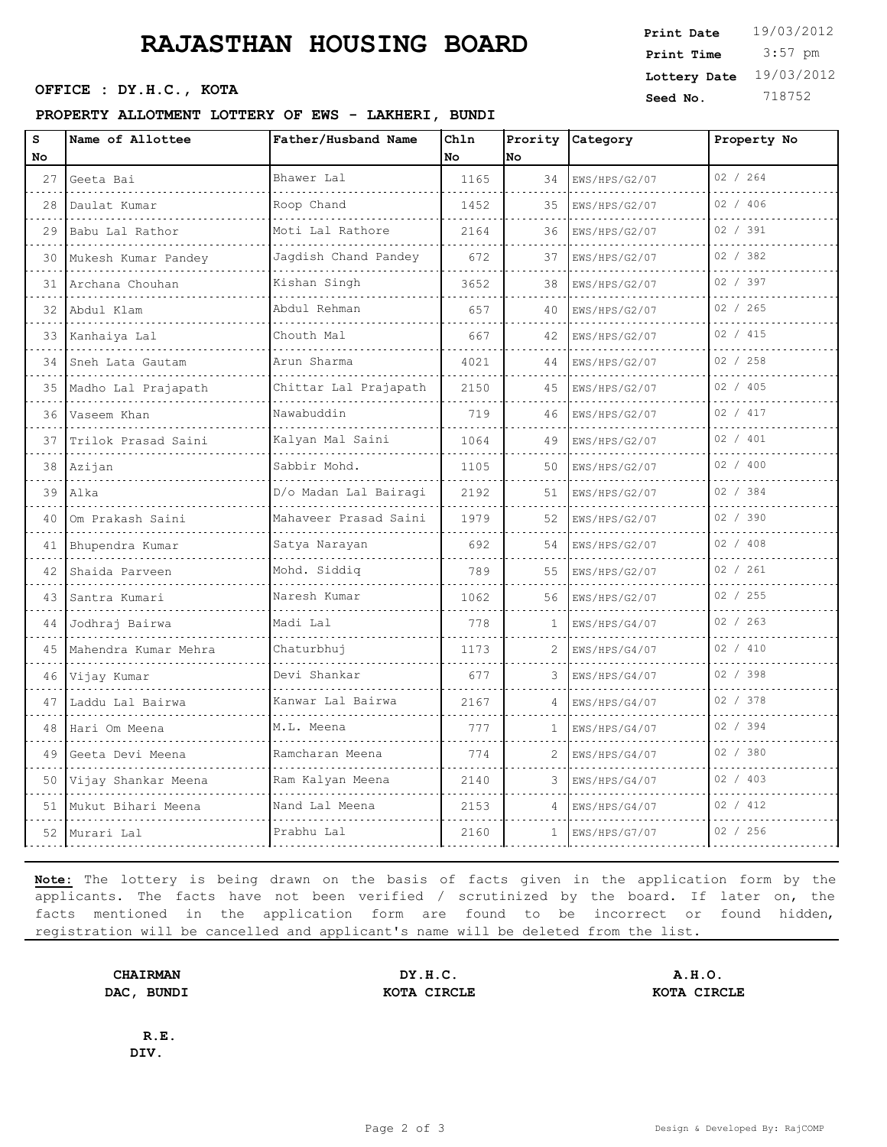# **RAJASTHAN HOUSING BOARD**

### **PROPERTY ALLOTMENT LOTTERY OF EWS - LAKHERI, BUNDI**

| S      | Name of Allottee        | Father/Husband Name                        | Ch1n |              | Prority Category   | Property No |
|--------|-------------------------|--------------------------------------------|------|--------------|--------------------|-------------|
| No     |                         |                                            | No   | No           |                    |             |
| 27     | Geeta Bai               | Bhawer Lal                                 | 1165 | 34           | EWS/HPS/G2/07      | 02 / 264    |
| 28     | Daulat Kumar            | Roop Chand                                 | 1452 | 35           | EWS/HPS/G2/07      | 02 / 406    |
| 29     | Babu Lal Rathor<br>.    | Moti Lal Rathore<br>.                      | 2164 | 36           | EWS/HPS/G2/07      | 02 / 391    |
|        | 30 Mukesh Kumar Pandey  | Jagdish Chand Pandey                       | 672  | 37           | EWS/HPS/G2/07      | 02 / 382    |
| 31     | Archana Chouhan         | Kishan Singh                               | 3652 | 38           | EWS/HPS/G2/07      | 02 / 397    |
| $32-1$ | Abdul Klam<br>.         | Abdul Rehman<br>and a strategic control of | 657  | 40           | EWS/HPS/G2/07<br>. | 02 / 265    |
|        | 33 Kanhaiya Lal         | Chouth Mal                                 | 667  | 42           | EWS/HPS/G2/07      | 02 / 415    |
| 34     | Sneh Lata Gautam        | Arun Sharma                                | 4021 | 44           | EWS/HPS/G2/07      | 02 / 258    |
| $35$   | Madho Lal Prajapath     | Chittar Lal Prajapath                      | 2150 | 45           | EWS/HPS/G2/07      | 02 / 405    |
| 36     | Vaseem Khan             | Nawabuddin                                 | 719  | 46           | EWS/HPS/G2/07      | 02 / 417    |
| 37     | Trilok Prasad Saini     | Kalyan Mal Saini                           | 1064 | 49           | EWS/HPS/G2/07      | 02 / 401    |
| 38     | Azijan                  | Sabbir Mohd.<br>.                          | 1105 | 50           | EWS/HPS/G2/07      | 02 / 400    |
|        | 39 Alka                 | D/o Madan Lal Bairagi                      | 2192 | 51           | EWS/HPS/G2/07      | 02 / 384    |
| 40     | Om Prakash Saini        | Mahaveer Prasad Saini                      | 1979 | 52           | EWS/HPS/G2/07      | 02 / 390    |
|        | 41 Bhupendra Kumar      | Satya Narayan                              | 692  | 54           | EWS/HPS/G2/07      | 02 / 408    |
| 42     | Shaida Parveen          | Mohd. Siddig                               | 789  | 55           | EWS/HPS/G2/07      | 02 / 261    |
| 43     | Santra Kumari           | Naresh Kumar                               | 1062 | 56           | EWS/HPS/G2/07      | 02 / 255    |
|        | 44 Jodhraj Bairwa       | Madi Lal                                   | 778  | 1            | EWS/HPS/G4/07      | 02 / 263    |
|        | 45 Mahendra Kumar Mehra | Chaturbhuj                                 | 1173 |              | EWS/HPS/G4/07      | 02 / 410    |
| 46     | Vijay Kumar             | Devi Shankar                               | 677  | 3            | EWS/HPS/G4/07      | 02 / 398    |
| 47     | Laddu Lal Bairwa<br>.   | Kanwar Lal Bairwa<br><u>.</u>              | 2167 |              | EWS/HPS/G4/07      | 02 / 378    |
| 48     | Hari Om Meena           | M.L. Meena                                 | 777  | 1            | EWS/HPS/G4/07      | 02 / 394    |
| 49     | Geeta Devi Meena        | Ramcharan Meena                            | 774  | 2            | EWS/HPS/G4/07      | 02 / 380    |
|        | 50 Vijay Shankar Meena  | Ram Kalyan Meena                           | 2140 | 3            | EWS/HPS/G4/07      | 02 / 403    |
|        | 51 Mukut Bihari Meena   | Nand Lal Meena                             | 2153 |              | EWS/HPS/G4/07      | 02 / 412    |
|        | 52 Murari Lal           | Prabhu Lal                                 | 2160 | $\mathbf{1}$ | EWS/HPS/G7/07      | 02 / 256    |
|        |                         |                                            |      |              |                    |             |

**Note:** The lottery is being drawn on the basis of facts given in the application form by the applicants. The facts have not been verified / scrutinized by the board. If later on, the facts mentioned in the application form are found to be incorrect or found hidden, registration will be cancelled and applicant's name will be deleted from the list.

**CHAIRMAN DY.H.C. A.H.O. DAC, BUNDI KOTA CIRCLE KOTA CIRCLE**

**R.E. DIV.**